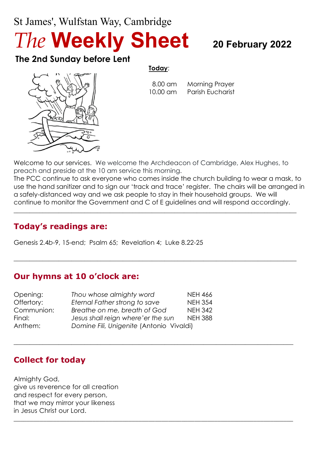# St James', Wulfstan Way, Cambridge

*The* **Weekly Sheet <sup>20</sup> February <sup>2022</sup>**

# **The 2nd Sunday before Lent**

#### **Today**:

 8.00 am Morning Prayer 10.00 am Parish Eucharist



Welcome to our services. We welcome the Archdeacon of Cambridge, Alex Hughes, to preach and preside at the 10 am service this morning.

The PCC continue to ask everyone who comes inside the church building to wear a mask, to use the hand sanitizer and to sign our 'track and trace' register. The chairs will be arranged in a safely-distanced way and we ask people to stay in their household groups. We will continue to monitor the Government and C of E guidelines and will respond accordingly.

 $\_$  , and the set of the set of the set of the set of the set of the set of the set of the set of the set of the set of the set of the set of the set of the set of the set of the set of the set of the set of the set of th

 $\_$  , and the set of the set of the set of the set of the set of the set of the set of the set of the set of the set of the set of the set of the set of the set of the set of the set of the set of the set of the set of th

 $\_$  , and the set of the set of the set of the set of the set of the set of the set of the set of the set of the set of the set of the set of the set of the set of the set of the set of the set of the set of the set of th

\_\_\_\_\_\_\_\_\_\_\_\_\_\_\_\_\_\_\_\_\_\_\_\_\_\_\_\_\_\_\_\_\_\_\_\_\_\_\_\_\_\_\_\_\_\_\_\_\_\_\_\_\_\_\_\_\_\_\_\_\_\_\_\_\_\_\_\_\_\_\_\_\_\_\_\_\_\_\_\_\_\_\_\_\_

# **Today's readings are:**

Genesis 2.4*b*-9, 15-end; Psalm 65; Revelation 4; Luke 8.22-25

#### **Our hymns at 10 o'clock are:**

| Opening:   | Thou whose almighty word                 | <b>NEH 466</b> |
|------------|------------------------------------------|----------------|
| Offertory: | Eternal Father strong to save            | <b>NEH 354</b> |
| Communion: | Breathe on me, breath of God             | <b>NEH 342</b> |
| Final:     | Jesus shall reign where' er the sun      | <b>NEH 388</b> |
| Anthem:    | Domine Fili, Unigenite (Antonio Vivaldi) |                |

# **Collect for today**

Almighty God, give us reverence for all creation and respect for every person, that we may mirror your likeness in Jesus Christ our Lord.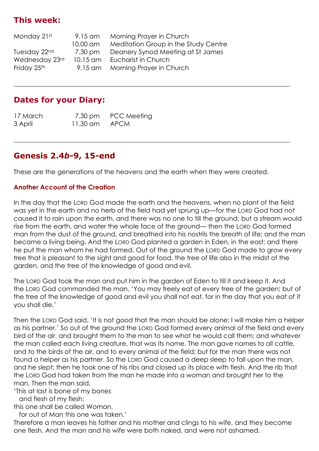# **This week:**

| $9.15$ am  | Morning Prayer in Church             |
|------------|--------------------------------------|
| 10.00 am   | Meditation Group in the Study Centre |
| 7.30 pm    | Deanery Synod Meeting at St James    |
| $10.15$ am | Eucharist in Church                  |
| 9.15 am    | Morning Prayer in Church             |
|            |                                      |

#### **Dates for your Diary:**

| 17 March | 7.30 pm  | <b>PCC Meeting</b> |
|----------|----------|--------------------|
| 3 April  | 11.30 am | <b>APCM</b>        |

#### **Genesis 2.4***b***-9, 15-end**

These are the generations of the heavens and the earth when they were created.

 $\_$  , and the set of the set of the set of the set of the set of the set of the set of the set of the set of the set of the set of the set of the set of the set of the set of the set of the set of the set of the set of th

 $\_$  , and the set of the set of the set of the set of the set of the set of the set of the set of the set of the set of the set of the set of the set of the set of the set of the set of the set of the set of the set of th

#### **Another Account of the Creation**

In the day that the LORD God made the earth and the heavens, when no plant of the field was yet in the earth and no herb of the field had yet sprung up—for the LORD God had not caused it to rain upon the earth, and there was no one to till the ground; but a stream would rise from the earth, and water the whole face of the ground— then the LORD God formed man from the dust of the ground, and breathed into his nostrils the breath of life; and the man became a living being. And the LORD God planted a garden in Eden, in the east; and there he put the man whom he had formed. Out of the ground the LORD God made to grow every tree that is pleasant to the sight and good for food, the tree of life also in the midst of the garden, and the tree of the knowledge of good and evil.

The LORD God took the man and put him in the garden of Eden to till it and keep it. And the LORD God commanded the man, 'You may freely eat of every tree of the garden; but of the tree of the knowledge of good and evil you shall not eat, for in the day that you eat of it you shall die.'

Then the LORD God said, 'It is not good that the man should be alone; I will make him a helper as his partner.' So out of the ground the LORD God formed every animal of the field and every bird of the air, and brought them to the man to see what he would call them; and whatever the man called each living creature, that was its name. The man gave names to all cattle, and to the birds of the air, and to every animal of the field; but for the man there was not found a helper as his partner. So the LORD God caused a deep sleep to fall upon the man, and he slept; then he took one of his ribs and closed up its place with flesh. And the rib that the LORD God had taken from the man he made into a woman and brought her to the man. Then the man said,

'This at last is bone of my bones

and flesh of my flesh;

this one shall be called Woman,

for out of Man this one was taken.'

Therefore a man leaves his father and his mother and clings to his wife, and they become one flesh. And the man and his wife were both naked, and were not ashamed.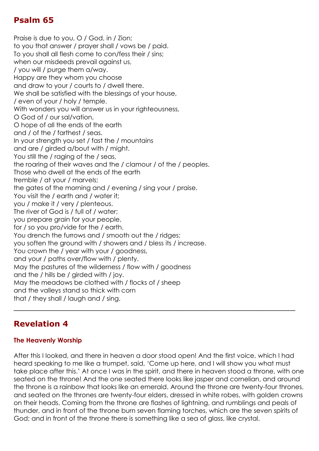# **Psalm 65**

Praise is due to you, O / God, in / Zion; to you that answer / prayer shall / vows be / paid. To you shall all flesh come to con/fess their / sins; when our misdeeds prevail against us, / you will / purge them a/way. Happy are they whom you choose and draw to your / courts to / dwell there. We shall be satisfied with the blessings of your house, / even of your / holy / temple. With wonders you will answer us in your righteousness, O God of / our sal/vation, O hope of all the ends of the earth and / of the / farthest / seas. In your strength you set / fast the / mountains and are / girded a/bout with / might. You still the / raging of the / seas, the roaring of their waves and the / clamour / of the / peoples. Those who dwell at the ends of the earth tremble / at your / marvels; the gates of the morning and / evening / sing your / praise. You visit the / earth and / water it; you / make it / very / plenteous. The river of God is / full of / water; you prepare grain for your people, for / so you pro/vide for the / earth. You drench the furrows and / smooth out the / ridges; you soften the ground with / showers and / bless its / increase. You crown the / year with your / goodness, and your / paths over/flow with / plenty. May the pastures of the wilderness / flow with / goodness and the / hills be / girded with / joy. May the meadows be clothed with / flocks of / sheep and the valleys stand so thick with corn that / they shall / laugh and / sing. \_\_\_\_\_\_\_\_\_\_\_\_\_\_\_\_\_\_\_\_\_\_\_\_\_\_\_\_\_\_\_\_\_\_\_\_\_\_\_\_\_\_\_\_\_\_\_\_\_\_\_\_\_\_\_\_\_

#### **Revelation 4**

#### **The Heavenly Worship**

After this I looked, and there in heaven a door stood open! And the first voice, which I had heard speaking to me like a trumpet, said, 'Come up here, and I will show you what must take place after this.' At once I was in the spirit, and there in heaven stood a throne, with one seated on the throne! And the one seated there looks like jasper and cornelian, and around the throne is a rainbow that looks like an emerald. Around the throne are twenty-four thrones, and seated on the thrones are twenty-four elders, dressed in white robes, with golden crowns on their heads. Coming from the throne are flashes of lightning, and rumblings and peals of thunder, and in front of the throne burn seven flaming torches, which are the seven spirits of God; and in front of the throne there is something like a sea of glass, like crystal.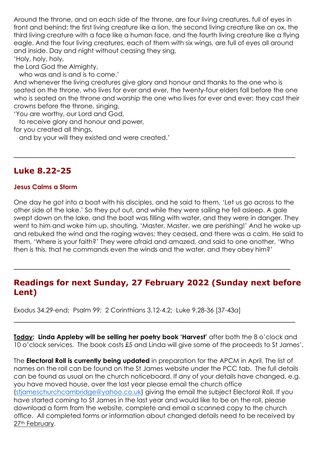Around the throne, and on each side of the throne, are four living creatures, full of eyes in front and behind: the first living creature like a lion, the second living creature like an ox, the third living creature with a face like a human face, and the fourth living creature like a flying eagle. And the four living creatures, each of them with six wings, are full of eyes all around and inside. Day and night without ceasing they sing,

'Holy, holy, holy,

the Lord God the Almighty,

who was and is and is to come.'

And whenever the living creatures give glory and honour and thanks to the one who is seated on the throne, who lives for ever and ever, the twenty-four elders fall before the one who is seated on the throne and worship the one who lives for ever and ever; they cast their crowns before the throne, singing,

\_\_\_\_\_\_\_\_\_\_\_\_\_\_\_\_\_\_\_\_\_\_\_\_\_\_\_\_\_\_\_\_\_\_\_\_\_\_\_\_\_\_\_\_\_\_\_\_\_\_\_\_\_\_\_\_\_

'You are worthy, our Lord and God,

to receive glory and honour and power,

for you created all things,

and by your will they existed and were created.'

#### **Luke 8.22-25**

#### **Jesus Calms a Storm**

One day he got into a boat with his disciples, and he said to them, 'Let us go across to the other side of the lake.' So they put out, and while they were sailing he fell asleep. A gale swept down on the lake, and the boat was filling with water, and they were in danger. They went to him and woke him up, shouting, 'Master, Master, we are perishing!' And he woke up and rebuked the wind and the raging waves; they ceased, and there was a calm. He said to them, 'Where is your faith?' They were afraid and amazed, and said to one another, 'Who then is this, that he commands even the winds and the water, and they obey him?'

#### **Readings for next Sunday, 27 February 2022 (Sunday next before Lent)**

\_\_\_\_\_\_\_\_\_\_\_\_\_\_\_\_\_\_\_\_\_\_\_\_\_\_\_\_\_\_\_\_\_\_\_\_\_\_\_\_\_\_\_\_\_\_\_\_\_\_\_\_\_\_\_\_

Exodus 34.29-end; Psalm 99; 2 Corinthians 3.12-4.2; Luke 9.28-36 [37-43*a*]

**Today: Linda Appleby will be selling her poetry book 'Harvest'** after both the 8 o'clock and 10 o'clock services. The book costs £5 and Linda will give some of the proceeds to St James'.

\_\_\_\_\_\_\_\_\_\_\_\_\_\_\_\_\_\_\_\_\_\_\_\_\_\_\_\_\_\_\_\_\_\_\_\_\_\_\_\_\_\_\_\_\_\_\_\_\_\_\_\_\_\_\_\_\_

The **Electoral Roll is currently being updated** in preparation for the APCM in April. The list of names on the roll can be found on the St James website under the PCC tab. The full details can be found as usual on the church noticeboard. If any of your details have changed, e.g. you have moved house, over the last year please email the church office [\(stjameschurchcambridge@yahoo.co.uk\)](mailto:stjameschurchcambridge@yahoo.co.uk) giving the email the subject Electoral Roll. If you have started coming to St James in the last year and would like to be on the roll, please download a form from the website, complete and email a scanned copy to the church office. All completed forms or information about changed details need to be received by 27<sup>th</sup> February.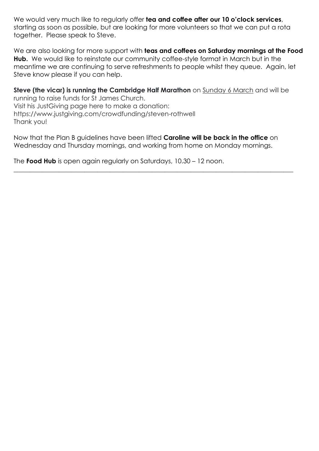We would very much like to regularly offer **tea and coffee after our 10 o'clock services**, starting as soon as possible, but are looking for more volunteers so that we can put a rota together. Please speak to Steve.

We are also looking for more support with **teas and coffees on Saturday mornings at the Food Hub.** We would like to reinstate our community coffee-style format in March but in the meantime we are continuing to serve refreshments to people whilst they queue. Again, let Steve know please if you can help.

**Steve (the vicar) is running the Cambridge Half Marathon** on **Sunday 6 March** and will be running to raise funds for St James Church. Visit his JustGiving page here to make a donation: https://www.justgiving.com/crowdfunding/steven-rothwell Thank you!

Now that the Plan B guidelines have been lifted **Caroline will be back in the office** on Wednesday and Thursday mornings, and working from home on Monday mornings.

 $\_$  , and the set of the set of the set of the set of the set of the set of the set of the set of the set of the set of the set of the set of the set of the set of the set of the set of the set of the set of the set of th

The **Food Hub** is open again regularly on Saturdays, 10.30 – 12 noon.